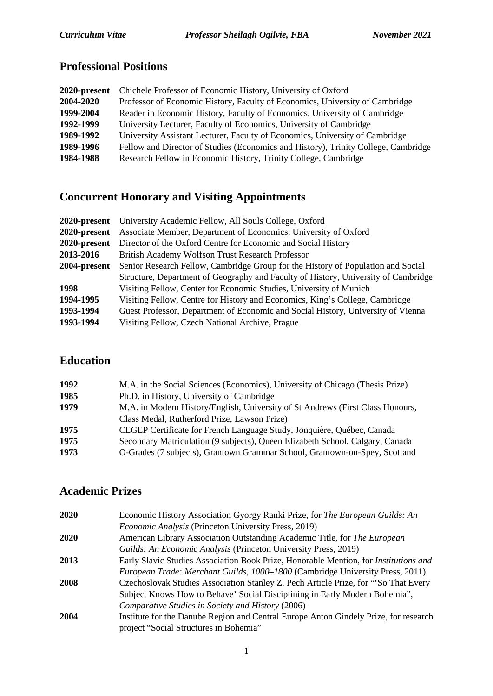## **Professional Positions**

| 2020-present | Chichele Professor of Economic History, University of Oxford                       |
|--------------|------------------------------------------------------------------------------------|
| 2004-2020    | Professor of Economic History, Faculty of Economics, University of Cambridge       |
| 1999-2004    | Reader in Economic History, Faculty of Economics, University of Cambridge          |
| 1992-1999    | University Lecturer, Faculty of Economics, University of Cambridge                 |
| 1989-1992    | University Assistant Lecturer, Faculty of Economics, University of Cambridge       |
| 1989-1996    | Fellow and Director of Studies (Economics and History), Trinity College, Cambridge |
| 1984-1988    | Research Fellow in Economic History, Trinity College, Cambridge                    |

# **Concurrent Honorary and Visiting Appointments**

|              | <b>2020-present</b> University Academic Fellow, All Souls College, Oxford          |
|--------------|------------------------------------------------------------------------------------|
| 2020-present | Associate Member, Department of Economics, University of Oxford                    |
| 2020-present | Director of the Oxford Centre for Economic and Social History                      |
| 2013-2016    | British Academy Wolfson Trust Research Professor                                   |
| 2004-present | Senior Research Fellow, Cambridge Group for the History of Population and Social   |
|              | Structure, Department of Geography and Faculty of History, University of Cambridge |
| 1998         | Visiting Fellow, Center for Economic Studies, University of Munich                 |
| 1994-1995    | Visiting Fellow, Centre for History and Economics, King's College, Cambridge       |
| 1993-1994    | Guest Professor, Department of Economic and Social History, University of Vienna   |
| 1993-1994    | Visiting Fellow, Czech National Archive, Prague                                    |

## **Education**

| 1992 | M.A. in the Social Sciences (Economics), University of Chicago (Thesis Prize)  |
|------|--------------------------------------------------------------------------------|
| 1985 | Ph.D. in History, University of Cambridge                                      |
| 1979 | M.A. in Modern History/English, University of St Andrews (First Class Honours, |
|      | Class Medal, Rutherford Prize, Lawson Prize)                                   |
| 1975 | CEGEP Certificate for French Language Study, Jonquière, Québec, Canada         |
| 1975 | Secondary Matriculation (9 subjects), Queen Elizabeth School, Calgary, Canada  |
| 1973 | O-Grades (7 subjects), Grantown Grammar School, Grantown-on-Spey, Scotland     |
|      |                                                                                |

## **Academic Prizes**

| 2020 | Economic History Association Gyorgy Ranki Prize, for The European Guilds: An         |
|------|--------------------------------------------------------------------------------------|
|      | <i>Economic Analysis</i> (Princeton University Press, 2019)                          |
| 2020 | American Library Association Outstanding Academic Title, for The European            |
|      | Guilds: An Economic Analysis (Princeton University Press, 2019)                      |
| 2013 | Early Slavic Studies Association Book Prize, Honorable Mention, for Institutions and |
|      | European Trade: Merchant Guilds, 1000–1800 (Cambridge University Press, 2011)        |
| 2008 | Czechoslovak Studies Association Stanley Z. Pech Article Prize, for "So That Every   |
|      | Subject Knows How to Behave' Social Disciplining in Early Modern Bohemia",           |
|      | Comparative Studies in Society and History (2006)                                    |
| 2004 | Institute for the Danube Region and Central Europe Anton Gindely Prize, for research |
|      | project "Social Structures in Bohemia"                                               |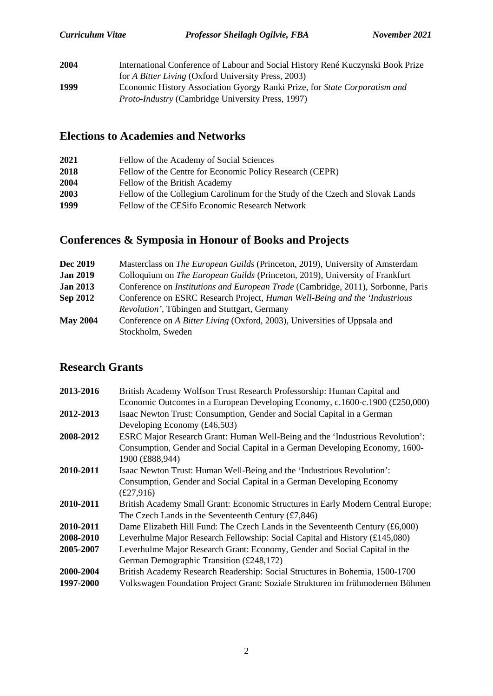| 2004 | International Conference of Labour and Social History René Kuczynski Book Prize |
|------|---------------------------------------------------------------------------------|
|      | for A Bitter Living (Oxford University Press, 2003)                             |
| 1999 | Economic History Association Gyorgy Ranki Prize, for State Corporatism and      |
|      | <i>Proto-Industry</i> (Cambridge University Press, 1997)                        |

## **Elections to Academies and Networks**

| 2021 | Fellow of the Academy of Social Sciences                                      |
|------|-------------------------------------------------------------------------------|
| 2018 | Fellow of the Centre for Economic Policy Research (CEPR)                      |
| 2004 | Fellow of the British Academy                                                 |
| 2003 | Fellow of the Collegium Carolinum for the Study of the Czech and Slovak Lands |
| 1999 | Fellow of the CESifo Economic Research Network                                |
|      |                                                                               |

# **Conferences & Symposia in Honour of Books and Projects**

| Dec 2019        | Masterclass on <i>The European Guilds</i> (Princeton, 2019), University of Amsterdam    |
|-----------------|-----------------------------------------------------------------------------------------|
| <b>Jan 2019</b> | Colloquium on <i>The European Guilds</i> (Princeton, 2019), University of Frankfurt     |
| <b>Jan 2013</b> | Conference on <i>Institutions and European Trade</i> (Cambridge, 2011), Sorbonne, Paris |
| <b>Sep 2012</b> | Conference on ESRC Research Project, Human Well-Being and the 'Industrious'             |
|                 | <i>Revolution'</i> , Tübingen and Stuttgart, Germany                                    |
| <b>May 2004</b> | Conference on A Bitter Living (Oxford, 2003), Universities of Uppsala and               |
|                 | Stockholm, Sweden                                                                       |

## **Research Grants**

| 2013-2016 | British Academy Wolfson Trust Research Professorship: Human Capital and<br>Economic Outcomes in a European Developing Economy, c.1600-c.1900 $(\text{\pounds}250,000)$ |
|-----------|------------------------------------------------------------------------------------------------------------------------------------------------------------------------|
| 2012-2013 | Isaac Newton Trust: Consumption, Gender and Social Capital in a German                                                                                                 |
| 2008-2012 | Developing Economy $(f46,503)$<br>ESRC Major Research Grant: Human Well-Being and the 'Industrious Revolution':                                                        |
|           | Consumption, Gender and Social Capital in a German Developing Economy, 1600-<br>1900 (£888,944)                                                                        |
| 2010-2011 | Isaac Newton Trust: Human Well-Being and the 'Industrious Revolution':                                                                                                 |
|           | Consumption, Gender and Social Capital in a German Developing Economy                                                                                                  |
|           | £27,916)                                                                                                                                                               |
| 2010-2011 | British Academy Small Grant: Economic Structures in Early Modern Central Europe:                                                                                       |
|           | The Czech Lands in the Seventeenth Century $(f7,846)$                                                                                                                  |
| 2010-2011 | Dame Elizabeth Hill Fund: The Czech Lands in the Seventeenth Century (£6,000)                                                                                          |
| 2008-2010 | Leverhulme Major Research Fellowship: Social Capital and History (£145,080)                                                                                            |
| 2005-2007 | Leverhulme Major Research Grant: Economy, Gender and Social Capital in the                                                                                             |
|           | German Demographic Transition (£248,172)                                                                                                                               |
| 2000-2004 | British Academy Research Readership: Social Structures in Bohemia, 1500-1700                                                                                           |
| 1997-2000 | Volkswagen Foundation Project Grant: Soziale Strukturen im frühmodernen Böhmen                                                                                         |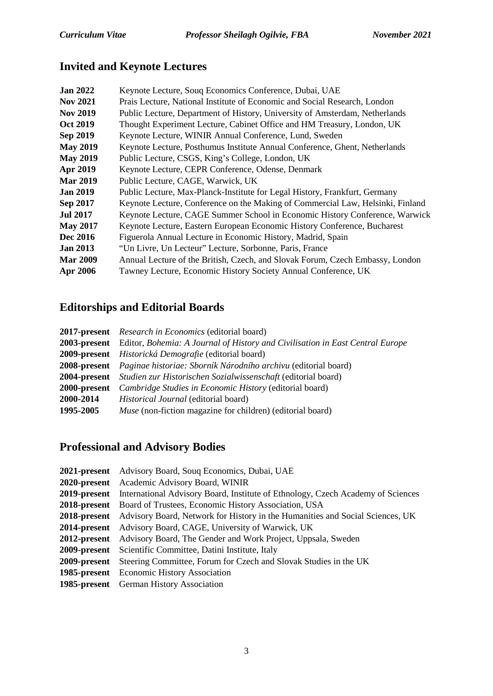## **Invited and Keynote Lectures**

| <b>Jan 2022</b> | Keynote Lecture, Souq Economics Conference, Dubai, UAE                         |
|-----------------|--------------------------------------------------------------------------------|
| <b>Nov 2021</b> | Prais Lecture, National Institute of Economic and Social Research, London      |
| <b>Nov 2019</b> | Public Lecture, Department of History, University of Amsterdam, Netherlands    |
| <b>Oct 2019</b> | Thought Experiment Lecture, Cabinet Office and HM Treasury, London, UK         |
| Sep 2019        | Keynote Lecture, WINIR Annual Conference, Lund, Sweden                         |
| <b>May 2019</b> | Keynote Lecture, Posthumus Institute Annual Conference, Ghent, Netherlands     |
| <b>May 2019</b> | Public Lecture, CSGS, King's College, London, UK                               |
| Apr 2019        | Keynote Lecture, CEPR Conference, Odense, Denmark                              |
| <b>Mar 2019</b> | Public Lecture, CAGE, Warwick, UK                                              |
| <b>Jan 2019</b> | Public Lecture, Max-Planck-Institute for Legal History, Frankfurt, Germany     |
| Sep 2017        | Keynote Lecture, Conference on the Making of Commercial Law, Helsinki, Finland |
| <b>Jul 2017</b> | Keynote Lecture, CAGE Summer School in Economic History Conference, Warwick    |
| <b>May 2017</b> | Keynote Lecture, Eastern European Economic History Conference, Bucharest       |
| <b>Dec 2016</b> | Figuerola Annual Lecture in Economic History, Madrid, Spain                    |
| <b>Jan 2013</b> | "Un Livre, Un Lecteur" Lecture, Sorbonne, Paris, France                        |
| <b>Mar 2009</b> | Annual Lecture of the British, Czech, and Slovak Forum, Czech Embassy, London  |
| Apr 2006        | Tawney Lecture, Economic History Society Annual Conference, UK                 |
|                 |                                                                                |

# **Editorships and Editorial Boards**

|           | <b>2017-present</b> Research in Economics (editorial board)                                       |
|-----------|---------------------------------------------------------------------------------------------------|
|           | <b>2003-present</b> Editor, Bohemia: A Journal of History and Civilisation in East Central Europe |
|           | 2009-present Historická Demografie (editorial board)                                              |
|           | <b>2008-present</b> Paginae historiae: Sborník Národního archivu (editorial board)                |
|           | <b>2004-present</b> Studien zur Historischen Sozialwissenschaft (editorial board)                 |
|           | <b>2000-present</b> Cambridge Studies in Economic History (editorial board)                       |
| 2000-2014 | <i>Historical Journal</i> (editorial board)                                                       |
| 1995-2005 | <i>Muse</i> (non-fiction magazine for children) (editorial board)                                 |
|           |                                                                                                   |

## **Professional and Advisory Bodies**

| <b>2021-present</b> Advisory Board, Soug Economics, Dubai, UAE                                    |
|---------------------------------------------------------------------------------------------------|
| 2020-present Academic Advisory Board, WINIR                                                       |
| 2019-present International Advisory Board, Institute of Ethnology, Czech Academy of Sciences      |
| <b>2018-present</b> Board of Trustees, Economic History Association, USA                          |
| <b>2018-present</b> Advisory Board, Network for History in the Humanities and Social Sciences, UK |
| 2014-present Advisory Board, CAGE, University of Warwick, UK                                      |
| 2012-present Advisory Board, The Gender and Work Project, Uppsala, Sweden                         |
| <b>2009-present</b> Scientific Committee, Datini Institute, Italy                                 |
| 2009-present Steering Committee, Forum for Czech and Slovak Studies in the UK                     |
| 1985-present Economic History Association                                                         |
| <b>1985-present</b> German History Association                                                    |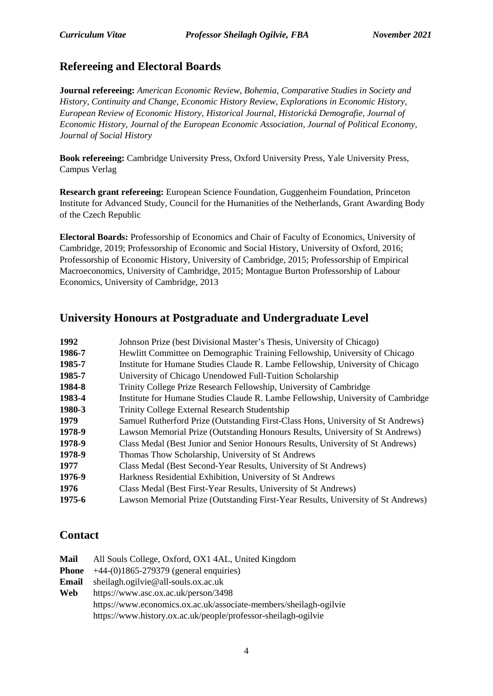#### **Refereeing and Electoral Boards**

**Journal refereeing:** *American Economic Review, Bohemia, Comparative Studies in Society and History, Continuity and Change, Economic History Review, Explorations in Economic History, European Review of Economic History, Historical Journal, Historická Demografie, Journal of Economic History, Journal of the European Economic Association, Journal of Political Economy, Journal of Social History*

**Book refereeing:** Cambridge University Press, Oxford University Press, Yale University Press, Campus Verlag

**Research grant refereeing:** European Science Foundation, Guggenheim Foundation, Princeton Institute for Advanced Study, Council for the Humanities of the Netherlands, Grant Awarding Body of the Czech Republic

**Electoral Boards:** Professorship of Economics and Chair of Faculty of Economics, University of Cambridge, 2019; Professorship of Economic and Social History, University of Oxford, 2016; Professorship of Economic History, University of Cambridge, 2015; Professorship of Empirical Macroeconomics, University of Cambridge, 2015; Montague Burton Professorship of Labour Economics, University of Cambridge, 2013

#### **University Honours at Postgraduate and Undergraduate Level**

| 1992   | Johnson Prize (best Divisional Master's Thesis, University of Chicago)           |
|--------|----------------------------------------------------------------------------------|
| 1986-7 | Hewlitt Committee on Demographic Training Fellowship, University of Chicago      |
| 1985-7 | Institute for Humane Studies Claude R. Lambe Fellowship, University of Chicago   |
| 1985-7 | University of Chicago Unendowed Full-Tuition Scholarship                         |
| 1984-8 | Trinity College Prize Research Fellowship, University of Cambridge               |
| 1983-4 | Institute for Humane Studies Claude R. Lambe Fellowship, University of Cambridge |
| 1980-3 | Trinity College External Research Studentship                                    |
| 1979   | Samuel Rutherford Prize (Outstanding First-Class Hons, University of St Andrews) |
| 1978-9 | Lawson Memorial Prize (Outstanding Honours Results, University of St Andrews)    |
| 1978-9 | Class Medal (Best Junior and Senior Honours Results, University of St Andrews)   |
| 1978-9 | Thomas Thow Scholarship, University of St Andrews                                |
| 1977   | Class Medal (Best Second-Year Results, University of St Andrews)                 |
| 1976-9 | Harkness Residential Exhibition, University of St Andrews                        |
| 1976   | Class Medal (Best First-Year Results, University of St Andrews)                  |
| 1975-6 | Lawson Memorial Prize (Outstanding First-Year Results, University of St Andrews) |

#### **Contact**

| Mail  | All Souls College, Oxford, OX1 4AL, United Kingdom                |
|-------|-------------------------------------------------------------------|
| Phone | $+44-(0)1865-279379$ (general enquiries)                          |
| Email | sheilagh.ogilvie@all-souls.ox.ac.uk                               |
| Web   | https://www.asc.ox.ac.uk/person/3498                              |
|       | https://www.economics.ox.ac.uk/associate-members/sheilagh-ogilvie |
|       | https://www.history.ox.ac.uk/people/professor-sheilagh-ogilvie    |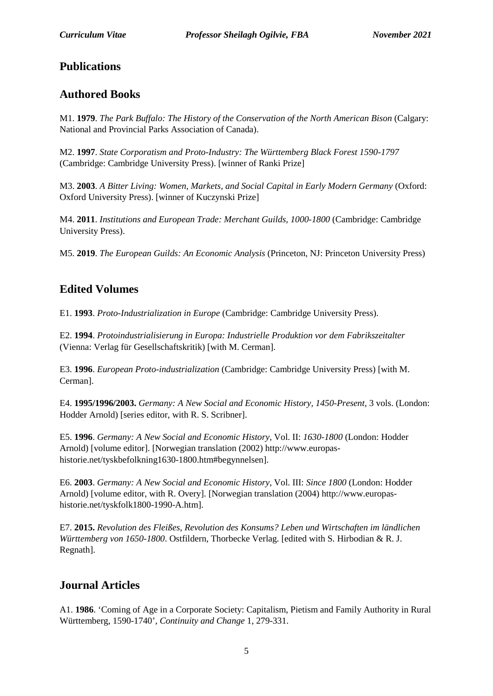#### **Publications**

#### **Authored Books**

M1. **1979**. *The Park Buffalo: The History of the Conservation of the North American Bison* (Calgary: National and Provincial Parks Association of Canada).

M2. **1997**. *State Corporatism and Proto-Industry: The Württemberg Black Forest 1590-1797* (Cambridge: Cambridge University Press). [winner of Ranki Prize]

M3. **2003**. *A Bitter Living: Women, Markets, and Social Capital in Early Modern Germany* (Oxford: Oxford University Press). [winner of Kuczynski Prize]

M4. **2011**. *Institutions and European Trade: Merchant Guilds, 1000-1800* (Cambridge: Cambridge University Press).

M5. **2019**. *The European Guilds: An Economic Analysis* (Princeton, NJ: Princeton University Press)

## **Edited Volumes**

E1. **1993**. *Proto-Industrialization in Europe* (Cambridge: Cambridge University Press).

E2. **1994**. *Protoindustrialisierung in Europa: Industrielle Produktion vor dem Fabrikszeitalter* (Vienna: Verlag für Gesellschaftskritik) [with M. Cerman].

E3. **1996**. *European Proto-industrialization* (Cambridge: Cambridge University Press) [with M. Cerman].

E4. **1995/1996/2003.** *Germany: A New Social and Economic History, 1450-Present*, 3 vols. (London: Hodder Arnold) [series editor, with R. S. Scribner].

E5. **1996**. *Germany: A New Social and Economic History*, Vol. II: *1630-1800* (London: Hodder Arnold) [volume editor]. [Norwegian translation (2002) http://www.europashistorie.net/tyskbefolkning1630-1800.htm#begynnelsen].

E6. **2003**. *Germany: A New Social and Economic History*, Vol. III: *Since 1800* (London: Hodder Arnold) [volume editor, with R. Overy]. [Norwegian translation (2004) http://www.europashistorie.net/tyskfolk1800-1990-A.htm].

E7. **2015.** *Revolution des Fleißes, Revolution des Konsums? Leben und Wirtschaften im ländlichen Württemberg von 1650-1800*. Ostfildern, Thorbecke Verlag. [edited with S. Hirbodian & R. J. Regnath].

## **Journal Articles**

A1. **1986**. 'Coming of Age in a Corporate Society: Capitalism, Pietism and Family Authority in Rural Württemberg, 1590-1740', *Continuity and Change* 1, 279-331.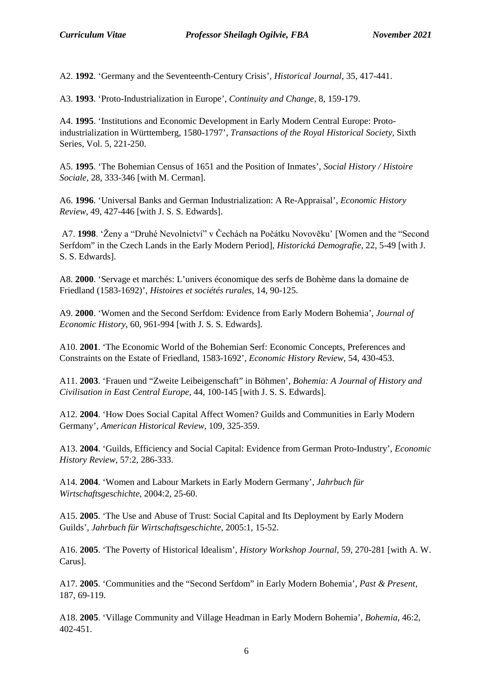A2. **1992**. 'Germany and the Seventeenth-Century Crisis', *Historical Journal*, 35, 417-441.

A3. **1993**. 'Proto-Industrialization in Europe', *Continuity and Change*, 8, 159-179.

A4. **1995**. 'Institutions and Economic Development in Early Modern Central Europe: Protoindustrialization in Württemberg, 1580-1797', *Transactions of the Royal Historical Society*, Sixth Series, Vol. 5, 221-250.

A5. **1995**. 'The Bohemian Census of 1651 and the Position of Inmates', *Social History / Histoire Sociale*, 28, 333-346 [with M. Cerman].

A6. **1996**. 'Universal Banks and German Industrialization: A Re-Appraisal', *Economic History Review*, 49, 427-446 [with J. S. S. Edwards].

A7. **1998**. 'Ženy a "Druhé Nevolnictví" v Čechách na Počátku Novovĕku' [Women and the "Second Serfdom" in the Czech Lands in the Early Modern Period], *Historická Demografie*, 22, 5-49 [with J. S. S. Edwards].

A8. **2000**. 'Servage et marchés: L'univers économique des serfs de Bohème dans la domaine de Friedland (1583-1692)', *Histoires et sociétés rurales*, 14, 90-125.

A9. **2000**. 'Women and the Second Serfdom: Evidence from Early Modern Bohemia', *Journal of Economic History*, 60, 961-994 [with J. S. S. Edwards].

A10. **2001**. 'The Economic World of the Bohemian Serf: Economic Concepts, Preferences and Constraints on the Estate of Friedland, 1583-1692', *Economic History Review*, 54, 430-453.

A11. **2003**. 'Frauen und "Zweite Leibeigenschaft" in Böhmen', *Bohemia: A Journal of History and Civilisation in East Central Europe*, 44, 100-145 [with J. S. S. Edwards].

A12. **2004**. 'How Does Social Capital Affect Women? Guilds and Communities in Early Modern Germany', *American Historical Review*, 109, 325-359.

A13. **2004**. 'Guilds, Efficiency and Social Capital: Evidence from German Proto-Industry', *Economic History Review*, 57:2, 286-333.

A14. **2004**. 'Women and Labour Markets in Early Modern Germany', *Jahrbuch für Wirtschaftsgeschichte*, 2004:2, 25-60.

A15. **2005**. 'The Use and Abuse of Trust: Social Capital and Its Deployment by Early Modern Guilds', *Jahrbuch für Wirtschaftsgeschichte*, 2005:1, 15-52.

A16. **2005**. 'The Poverty of Historical Idealism', *History Workshop Journal*, 59, 270-281 [with A. W. Carus].

A17. **2005**. 'Communities and the "Second Serfdom" in Early Modern Bohemia', *Past & Present*, 187, 69-119.

A18. **2005**. 'Village Community and Village Headman in Early Modern Bohemia', *Bohemia*, 46:2, 402-451.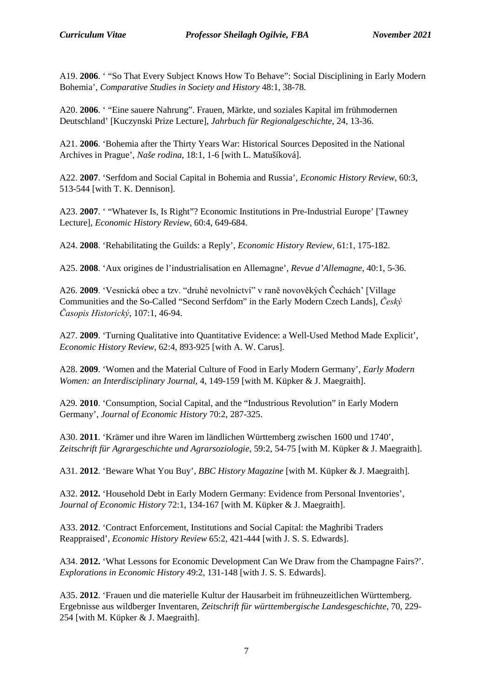A19. **2006**. ' "So That Every Subject Knows How To Behave": Social Disciplining in Early Modern Bohemia', *Comparative Studies in Society and History* 48:1, 38-78.

A20. **2006**. ' "Eine sauere Nahrung". Frauen, Märkte, und soziales Kapital im frühmodernen Deutschland' [Kuczynski Prize Lecture], *Jahrbuch für Regionalgeschichte*, 24, 13-36.

A21. **2006**. 'Bohemia after the Thirty Years War: Historical Sources Deposited in the National Archives in Prague', *Naše rodina*, 18:1, 1-6 [with L. Matušíková].

A22. **2007**. 'Serfdom and Social Capital in Bohemia and Russia', *Economic History Review*, 60:3, 513-544 [with T. K. Dennison].

A23. **2007**. ' "Whatever Is, Is Right"? Economic Institutions in Pre-Industrial Europe' [Tawney Lecture], *Economic History Review*, 60:4, 649-684.

A24. **2008**. 'Rehabilitating the Guilds: a Reply', *Economic History Review*, 61:1, 175-182.

A25. **2008**. 'Aux origines de l'industrialisation en Allemagne', *Revue d'Allemagne*, 40:1, 5-36.

A26. **2009**. 'Vesnická obec a tzv. "druhé nevolnictví" v raně novověkých Čechách' [Village Communities and the So-Called "Second Serfdom" in the Early Modern Czech Lands], *Český Časopis Historický*, 107:1, 46-94.

A27. **2009**. 'Turning Qualitative into Quantitative Evidence: a Well-Used Method Made Explicit', *Economic History Review*, 62:4, 893-925 [with A. W. Carus].

A28. **2009**. 'Women and the Material Culture of Food in Early Modern Germany', *Early Modern Women: an Interdisciplinary Journal*, 4, 149-159 [with M. Küpker & J. Maegraith].

A29. **2010**. 'Consumption, Social Capital, and the "Industrious Revolution" in Early Modern Germany', *Journal of Economic History* 70:2, 287-325.

A30. **2011**. 'Krämer und ihre Waren im ländlichen Württemberg zwischen 1600 und 1740', *Zeitschrift für Agrargeschichte und Agrarsoziologie*, 59:2, 54-75 [with M. Küpker & J. Maegraith].

A31. **2012**. 'Beware What You Buy', *BBC History Magazine* [with M. Küpker & J. Maegraith].

A32. **2012.** 'Household Debt in Early Modern Germany: Evidence from Personal Inventories', *Journal of Economic History* 72:1, 134-167 [with M. Küpker & J. Maegraith].

A33. **2012**. 'Contract Enforcement, Institutions and Social Capital: the Maghribi Traders Reappraised', *Economic History Review* 65:2, 421-444 [with J. S. S. Edwards].

A34. **2012.** 'What Lessons for Economic Development Can We Draw from the Champagne Fairs?'. *Explorations in Economic History* 49:2, 131-148 [with J. S. S. Edwards].

A35. **2012**. 'Frauen und die materielle Kultur der Hausarbeit im frühneuzeitlichen Württemberg. Ergebnisse aus wildberger Inventaren, *Zeitschrift für württembergische Landesgeschichte*, 70, 229- 254 [with M. Küpker & J. Maegraith].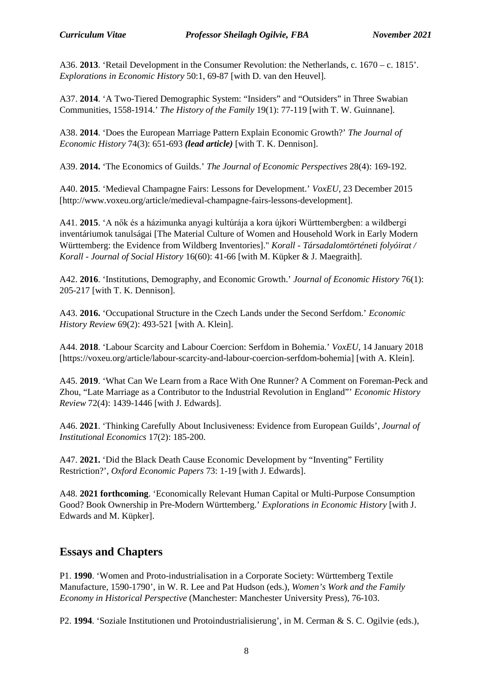A36. **2013**. 'Retail Development in the Consumer Revolution: the Netherlands, c. 1670 – c. 1815'. *Explorations in Economic History* 50:1, 69-87 [with D. van den Heuvel].

A37. **2014**. 'A Two-Tiered Demographic System: "Insiders" and "Outsiders" in Three Swabian Communities, 1558-1914.' *The History of the Family* 19(1): 77-119 [with T. W. Guinnane].

A38. **2014**. 'Does the European Marriage Pattern Explain Economic Growth?' *The Journal of Economic History* 74(3): 651-693 *(lead article)* [with T. K. Dennison].

A39. **2014.** 'The Economics of Guilds.' *The Journal of Economic Perspectives* 28(4): 169-192.

A40. **2015**. 'Medieval Champagne Fairs: Lessons for Development.' *VoxEU*, 23 December 2015 [http://www.voxeu.org/article/medieval-champagne-fairs-lessons-development].

A41. **2015**. 'A nők és a házimunka anyagi kultúrája a kora újkori Württembergben: a wildbergi inventáriumok tanulságai [The Material Culture of Women and Household Work in Early Modern Württemberg: the Evidence from Wildberg Inventories]." *Korall - Társadalomtörténeti folyóirat / Korall - Journal of Social History* 16(60): 41-66 [with M. Küpker & J. Maegraith].

A42. **2016**. 'Institutions, Demography, and Economic Growth.' *Journal of Economic History* 76(1): 205-217 [with T. K. Dennison].

A43. **2016.** 'Occupational Structure in the Czech Lands under the Second Serfdom.' *Economic History Review* 69(2): 493-521 [with A. Klein].

A44. **2018**. 'Labour Scarcity and Labour Coercion: Serfdom in Bohemia.' *VoxEU*, 14 January 2018 [https://voxeu.org/article/labour-scarcity-and-labour-coercion-serfdom-bohemia] [with A. Klein].

A45. **2019**. 'What Can We Learn from a Race With One Runner? A Comment on Foreman-Peck and Zhou, "Late Marriage as a Contributor to the Industrial Revolution in England"' *Economic History Review* 72(4): 1439-1446 [with J. Edwards].

A46. **2021**. 'Thinking Carefully About Inclusiveness: Evidence from European Guilds', *Journal of Institutional Economics* 17(2): 185-200.

A47. **2021.** 'Did the Black Death Cause Economic Development by "Inventing" Fertility Restriction?', *Oxford Economic Papers* 73: 1-19 [with J. Edwards].

A48. **2021 forthcoming**. 'Economically Relevant Human Capital or Multi-Purpose Consumption Good? Book Ownership in Pre-Modern Württemberg.' *Explorations in Economic History* [with J. Edwards and M. Küpker].

#### **Essays and Chapters**

P1. **1990**. 'Women and Proto-industrialisation in a Corporate Society: Württemberg Textile Manufacture, 1590-1790', in W. R. Lee and Pat Hudson (eds.), *Women's Work and the Family Economy in Historical Perspective* (Manchester: Manchester University Press), 76-103.

P2. **1994**. 'Soziale Institutionen und Protoindustrialisierung', in M. Cerman & S. C. Ogilvie (eds.),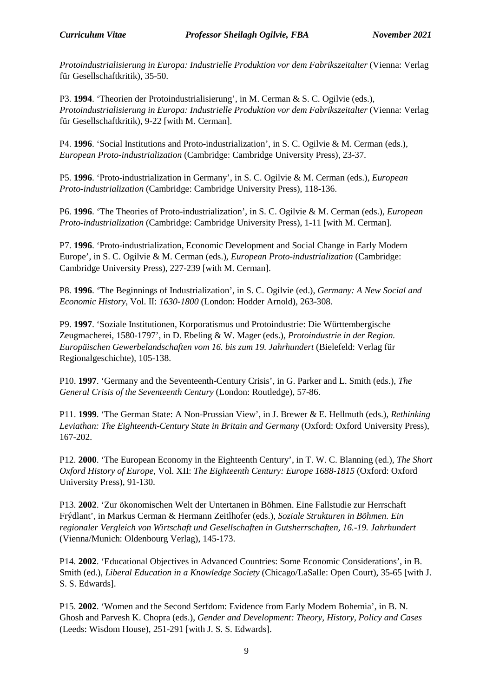*Protoindustrialisierung in Europa: Industrielle Produktion vor dem Fabrikszeitalter* (Vienna: Verlag für Gesellschaftkritik), 35-50.

P3. **1994**. 'Theorien der Protoindustrialisierung', in M. Cerman & S. C. Ogilvie (eds.), *Protoindustrialisierung in Europa: Industrielle Produktion vor dem Fabrikszeitalter* (Vienna: Verlag für Gesellschaftkritik), 9-22 [with M. Cerman].

P4. **1996**. 'Social Institutions and Proto-industrialization', in S. C. Ogilvie & M. Cerman (eds.), *European Proto-industrialization* (Cambridge: Cambridge University Press), 23-37.

P5. **1996**. 'Proto-industrialization in Germany', in S. C. Ogilvie & M. Cerman (eds.), *European Proto-industrialization* (Cambridge: Cambridge University Press), 118-136.

P6. **1996**. 'The Theories of Proto-industrialization', in S. C. Ogilvie & M. Cerman (eds.), *European Proto-industrialization* (Cambridge: Cambridge University Press), 1-11 [with M. Cerman].

P7. **1996**. 'Proto-industrialization, Economic Development and Social Change in Early Modern Europe', in S. C. Ogilvie & M. Cerman (eds.), *European Proto-industrialization* (Cambridge: Cambridge University Press), 227-239 [with M. Cerman].

P8. **1996**. 'The Beginnings of Industrialization', in S. C. Ogilvie (ed.), *Germany: A New Social and Economic History*, Vol. II: *1630-1800* (London: Hodder Arnold), 263-308.

P9. **1997**. 'Soziale Institutionen, Korporatismus und Protoindustrie: Die Württembergische Zeugmacherei, 1580-1797', in D. Ebeling & W. Mager (eds.), *Protoindustrie in der Region. Europäischen Gewerbelandschaften vom 16. bis zum 19. Jahrhundert* (Bielefeld: Verlag für Regionalgeschichte), 105-138.

P10. **1997**. 'Germany and the Seventeenth-Century Crisis', in G. Parker and L. Smith (eds.), *The General Crisis of the Seventeenth Century* (London: Routledge), 57-86.

P11. **1999**. 'The German State: A Non-Prussian View', in J. Brewer & E. Hellmuth (eds.), *Rethinking*  Leviathan: The Eighteenth-Century State in Britain and Germany (Oxford: Oxford University Press), 167-202.

P12. **2000**. 'The European Economy in the Eighteenth Century', in T. W. C. Blanning (ed.), *The Short Oxford History of Europe*, Vol. XII: *The Eighteenth Century: Europe 1688-1815* (Oxford: Oxford University Press), 91-130.

P13. **2002**. 'Zur ökonomischen Welt der Untertanen in Böhmen. Eine Fallstudie zur Herrschaft Frýdlant', in Markus Cerman & Hermann Zeitlhofer (eds.), *Soziale Strukturen in Böhmen. Ein regionaler Vergleich von Wirtschaft und Gesellschaften in Gutsherrschaften, 16.-19. Jahrhundert* (Vienna/Munich: Oldenbourg Verlag), 145-173.

P14. **2002**. 'Educational Objectives in Advanced Countries: Some Economic Considerations', in B. Smith (ed.), *Liberal Education in a Knowledge Society* (Chicago/LaSalle: Open Court), 35-65 [with J. S. S. Edwards].

P15. **2002**. 'Women and the Second Serfdom: Evidence from Early Modern Bohemia', in B. N. Ghosh and Parvesh K. Chopra (eds.), *Gender and Development: Theory, History, Policy and Cases*  (Leeds: Wisdom House), 251-291 [with J. S. S. Edwards].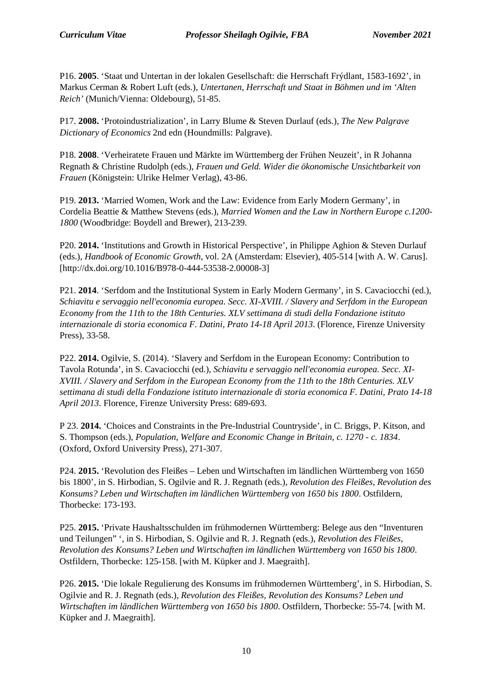P16. **2005**. 'Staat und Untertan in der lokalen Gesellschaft: die Herrschaft Frýdlant, 1583-1692', in Markus Cerman & Robert Luft (eds.), *Untertanen, Herrschaft und Staat in Böhmen und im 'Alten Reich'* (Munich/Vienna: Oldebourg), 51-85.

P17. **2008.** 'Protoindustrialization', in Larry Blume & Steven Durlauf (eds.), *The New Palgrave Dictionary of Economics* 2nd edn (Houndmills: Palgrave).

P18. **2008**. 'Verheiratete Frauen und Märkte im Württemberg der Frühen Neuzeit', in R Johanna Regnath & Christine Rudolph (eds.), *Frauen und Geld. Wider die ökonomische Unsichtbarkeit von Frauen* (Königstein: Ulrike Helmer Verlag), 43-86.

P19. **2013.** 'Married Women, Work and the Law: Evidence from Early Modern Germany', in Cordelia Beattie & Matthew Stevens (eds.), *Married Women and the Law in Northern Europe c.1200- 1800* (Woodbridge: Boydell and Brewer), 213-239.

P20. **2014.** 'Institutions and Growth in Historical Perspective', in Philippe Aghion & Steven Durlauf (eds.), *Handbook of Economic Growth*, vol. 2A (Amsterdam: Elsevier), 405-514 [with A. W. Carus]. [http://dx.doi.org/10.1016/B978-0-444-53538-2.00008-3]

P21. **2014**. 'Serfdom and the Institutional System in Early Modern Germany', in S. Cavaciocchi (ed.), *Schiavitu e servaggio nell'economia europea. Secc. XI-XVIII. / Slavery and Serfdom in the European Economy from the 11th to the 18th Centuries. XLV settimana di studi della Fondazione istituto internazionale di storia economica F. Datini, Prato 14-18 April 2013*. (Florence, Firenze University Press), 33-58.

P22. **2014.** Ogilvie, S. (2014). 'Slavery and Serfdom in the European Economy: Contribution to Tavola Rotunda', in S. Cavaciocchi (ed.), *Schiavitu e servaggio nell'economia europea. Secc. XI-XVIII. / Slavery and Serfdom in the European Economy from the 11th to the 18th Centuries. XLV settimana di studi della Fondazione istituto internazionale di storia economica F. Datini, Prato 14-18 April 2013*. Florence, Firenze University Press: 689-693.

P 23. **2014.** 'Choices and Constraints in the Pre-Industrial Countryside', in C. Briggs, P. Kitson, and S. Thompson (eds.), *Population, Welfare and Economic Change in Britain, c. 1270 - c. 1834*. (Oxford, Oxford University Press), 271-307.

P24. **2015.** 'Revolution des Fleißes – Leben und Wirtschaften im ländlichen Württemberg von 1650 bis 1800', in S. Hirbodian, S. Ogilvie and R. J. Regnath (eds.), *Revolution des Fleißes, Revolution des Konsums? Leben und Wirtschaften im ländlichen Württemberg von 1650 bis 1800*. Ostfildern, Thorbecke: 173-193.

P25. **2015.** 'Private Haushaltsschulden im frühmodernen Württemberg: Belege aus den "Inventuren und Teilungen" ', in S. Hirbodian, S. Ogilvie and R. J. Regnath (eds.), *Revolution des Fleißes, Revolution des Konsums? Leben und Wirtschaften im ländlichen Württemberg von 1650 bis 1800*. Ostfildern, Thorbecke: 125-158. [with M. Küpker and J. Maegraith].

P26. **2015.** 'Die lokale Regulierung des Konsums im frühmodernen Württemberg', in S. Hirbodian, S. Ogilvie and R. J. Regnath (eds.), *Revolution des Fleißes, Revolution des Konsums? Leben und Wirtschaften im ländlichen Württemberg von 1650 bis 1800*. Ostfildern, Thorbecke: 55-74. [with M. Küpker and J. Maegraith].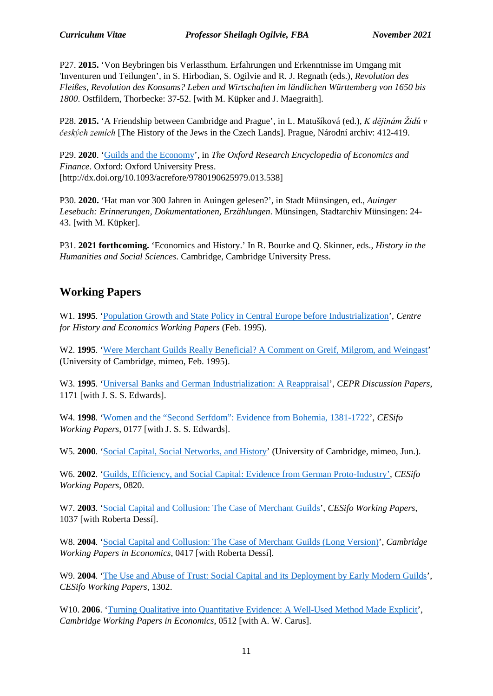P27. **2015.** 'Von Beybringen bis Verlassthum. Erfahrungen und Erkenntnisse im Umgang mit 'Inventuren und Teilungen', in S. Hirbodian, S. Ogilvie and R. J. Regnath (eds.), *Revolution des Fleißes, Revolution des Konsums? Leben und Wirtschaften im ländlichen Württemberg von 1650 bis 1800*. Ostfildern, Thorbecke: 37-52. [with M. Küpker and J. Maegraith].

P28. **2015.** 'A Friendship between Cambridge and Prague', in L. Matušíková (ed.), *K dějinám Židů v českých zemích* [The History of the Jews in the Czech Lands]. Prague, Národní archiv: 412-419.

P29. **2020**. 'Guilds [and the Economy'](https://oxfordre.com/economics/view/10.1093/acrefore/9780190625979.001.0001/acrefore-9780190625979-e-538), in *The Oxford Research Encyclopedia of Economics and Finance*. Oxford: Oxford University Press. [http://dx.doi.org/10.1093/acrefore/9780190625979.013.538]

P30. **2020.** 'Hat man vor 300 Jahren in Auingen gelesen?', in Stadt Münsingen, ed., *Auinger Lesebuch: Erinnerungen, Dokumentationen, Erzählungen*. Münsingen, Stadtarchiv Münsingen: 24- 43. [with M. Küpker].

P31. **2021 forthcoming.** 'Economics and History.' In R. Bourke and Q. Skinner, eds., *History in the Humanities and Social Sciences*. Cambridge, Cambridge University Press.

## **Working Papers**

W1. **1995**. ['Population Growth and State Policy in Central Europe before Industrialization'](https://www.google.com/url?sa=t&rct=j&q=&esrc=s&source=web&cd=6&cad=rja&uact=8&ved=2ahUKEwir8_SBv9bmAhWHh1wKHbFdCtwQFjAFegQIAxAC&url=http%3A%2F%2Fwww.econ.cam.ac.uk%2Fpeople-files%2Ffaculty%2Fsco2%2Fpdfs%2FPopulation-and-State-in-Central-Europe-1995.pdf&usg=AOvVaw1qUMT_6r0oOPQeVRvbagwG), *Centre for History and Economics Working Papers* (Feb. 1995).

W<sub>2</sub>. **1995**. ['Were Merchant Guilds Really Beneficial? A](https://www.google.com/url?sa=t&rct=j&q=&esrc=s&source=web&cd=11&cad=rja&uact=8&ved=2ahUKEwjHmu_Ov9bmAhVxmVwKHbYuDV8QFjAKegQIBBAC&url=http%3A%2F%2Fwww.econ.cam.ac.uk%2Fpeople-files%2Ffaculty%2Fsco2%2Fpdfs%2Fgmw-comment.pdf&usg=AOvVaw2mO5CFsuhHF_ycJtsIHjtV) Comment on Greif, Milgrom, and Weingast' (University of Cambridge, mimeo, Feb. 1995).

W3. **1995**. ['Universal Banks and German Industrialization: A Reappraisal'](http://www.cepr.org/pubs/new-dps/dplist.asp?dpno=1171), *CEPR Discussion Papers*, 1171 [with J. S. S. Edwards].

W4. **1998**. ['Women and the "Second Serfdom": Evidence from Bohemia, 1381-1722'](http://papers.ssrn.com/sol3/papers.cfm?abstract_id=148480), *CESifo Working Papers*, 0177 [with J. S. S. Edwards].

W5. **2000**. ['Social Capital, Social Networks, and History'](https://www.google.com/url?sa=t&rct=j&q=&esrc=s&source=web&cd=1&cad=rja&uact=8&ved=2ahUKEwiuseOBwNbmAhXKTcAKHU-0BfcQFjAAegQIAhAC&url=http%3A%2F%2Fwww.econ.cam.ac.uk%2Fpeople-files%2Ffaculty%2Fsco2%2Fpdfs%2Fsocial-capital-and-history.pdf&usg=AOvVaw2HQWB5oKzytBcLU92oF91P) (University of Cambridge, mimeo, Jun.).

W6. **2002**. ['Guilds, Efficiency, and Social Capital: Evidence from German Proto-Industry',](http://papers.ssrn.com/sol3/papers.cfm?abstract_id=367167) *CESifo Working Papers*, 0820.

W7. **2003**. ['Social Capital and Collusion: The Case of Merchant Guilds'](http://papers.ssrn.com/sol3/papers.cfm?abstract_id=449263), *CESifo Working Papers*, 1037 [with Roberta Dessí].

W8. **2004**. ['Social Capital and Collusion: The Case of Merchant Guilds \(Long Version\)'](http://www.econ.cam.ac.uk/dae/repec/cam/pdf/cwpe0417.pdf), *Cambridge Working Papers in Economics*, 0417 [with Roberta Dessí].

W9. **2004**. ['The Use and Abuse of Trust: Social Capital and its Deployment by Early Modern Guilds'](http://www.econ.cam.ac.uk/faculty/ogilvie/cesifo1302-trust.pdf), *CESifo Working Papers*, 1302.

W10. **2006**. ['Turning Qualitative into Quantitative Evidence: A Well-Used Method Made Explicit'](http://www.econ.cam.ac.uk/dae/repec/cam/pdf/cwpe0512.pdf), *Cambridge Working Papers in Economics*, 0512 [with A. W. Carus].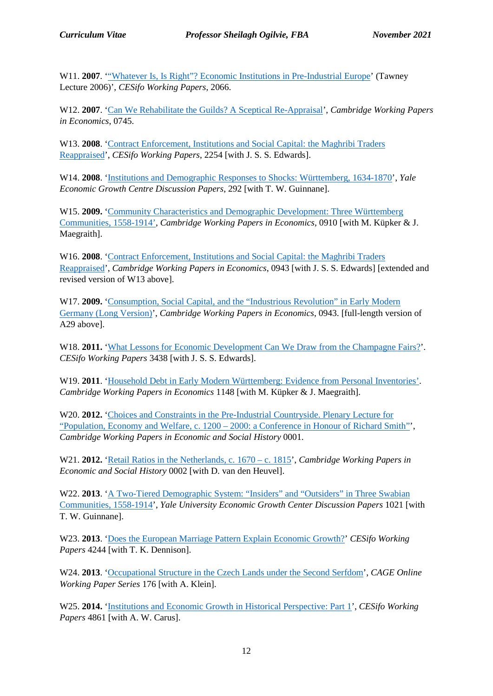W11. **2007.** "Whatever Is, Is Right"? Economic Institutions in Pre-Industrial Europe' (Tawney Lecture 2006)', *CESifo Working Papers*, 2066.

W12. **2007**. ['Can We Rehabilitate the Guilds? A Sceptical Re-Appraisal'](http://www.econ.cam.ac.uk/dae/repec/cam/pdf/cwpe0745.pdf), *Cambridge Working Papers in Economics*, 0745.

W13. **2008**. ['Contract Enforcement, Institutions and Social Capital: the Maghribi Traders](http://papers.ssrn.com/sol3/papers.cfm?abstract_id=1107801)  [Reappraised'](http://papers.ssrn.com/sol3/papers.cfm?abstract_id=1107801), *CESifo Working Papers*, 2254 [with J. S. S. Edwards].

W14. **2008**. ['Institutions and Demographic Responses to Shocks: Württemberg, 1634-1870'](http://papers.ssrn.com/sol3/papers.cfm?abstract_id=1109058), *Yale Economic Growth Centre Discussion Papers*, 292 [with T. W. Guinnane].

W15. **2009.** ['Community Characteristics and Demographic Development: Three Württemberg](http://www.econ.cam.ac.uk/dae/repec/cam/pdf/cwpe0910.pdf)  [Communities, 1558-1914',](http://www.econ.cam.ac.uk/dae/repec/cam/pdf/cwpe0910.pdf) *Cambridge Working Papers in Economics*, 0910 [with M. Küpker & J. Maegraith].

W16. **2008**. ['Contract Enforcement, Institutions and Social Capital: the Maghribi Traders](http://www.econ.cam.ac.uk/dae/repec/cam/pdf/cwpe0928.pdf)  [Reappraised'](http://www.econ.cam.ac.uk/dae/repec/cam/pdf/cwpe0928.pdf), *Cambridge Working Papers in Economics*, 0943 [with J. S. S. Edwards] [extended and revised version of W13 above].

W17. **2009.** 'Consumption, Social Capital, and the "Industrious Revolution" in Early Modern [Germany \(Long Version\)'](http://www.econ.cam.ac.uk/dae/repec/cam/pdf/cwpe0943.pdf), *Cambridge Working Papers in Economics*, 0943. [full-length version of A29 above].

W18. **2011.** ['What Lessons for Economic Development Can](http://www.cesifo-group.de/portal/pls/portal/docs/1/1200473.PDF) We Draw from the Champagne Fairs?'. *CESifo Working Papers* 3438 [with J. S. S. Edwards].

W19. 2011. ['Household Debt in Early Modern Württemberg: Evidence from Personal Inventories'.](http://www.econ.cam.ac.uk/dae/repec/cam/pdf/cwpe1148.pdf) *Cambridge Working Papers in Economics* 1148 [with M. Küpker & J. Maegraith].

W<sub>20</sub>. **2012.** 'Choices and Constraints in the Pre-Industrial Countryside. Plenary Lecture for "Population, Economy and Welfare, c. 1200 – [2000: a Conference in Honour of Richard Smith"'](http://www.econsoc.hist.cam.ac.uk/docs/CWPESH%20number%201%20March%202012.pdf), *Cambridge Working Papers in Economic and Social History* 0001.

W21. **2012.** ['Retail Ratios in the Netherlands, c. 1670 –](http://www.econsoc.hist.cam.ac.uk/docs/CWPESH%20number%202%20March%202012.pdf) c. 1815', *Cambridge Working Papers in Economic and Social History* 0002 [with D. van den Heuvel].

W<sub>22</sub>. **2013.** 'A Two-Tiered Demographic System: "Insiders" and "Outsiders" in Three Swabian [Communities, 1558-1914'](http://ssrn.com/abstract=2222932), *Yale University Economic Growth Center Discussion Papers* 1021 [with T. W. Guinnane].

W23. **2013**. ['Does the European Marriage Pattern Explain Economic Growth?'](http://papers.ssrn.com/sol3/papers.cfm?abstract_id=2274606) *CESifo Working Papers* 4244 [with T. K. Dennison].

W24. **2013**. ['Occupational Structure in the Czech Lands under the Second Serfdom'](http://www2.warwick.ac.uk/fac/soc/economics/research/centres/cage/research/wpfeed/176-2013_klein.pdf), *CAGE Online Working Paper Series* 176 [with A. Klein].

W25. **2014.** ['Institutions and Economic Growth in](http://ssrn.com/abstract=2463598) Historical Perspective: Part 1', *CESifo Working Papers* 4861 [with A. W. Carus].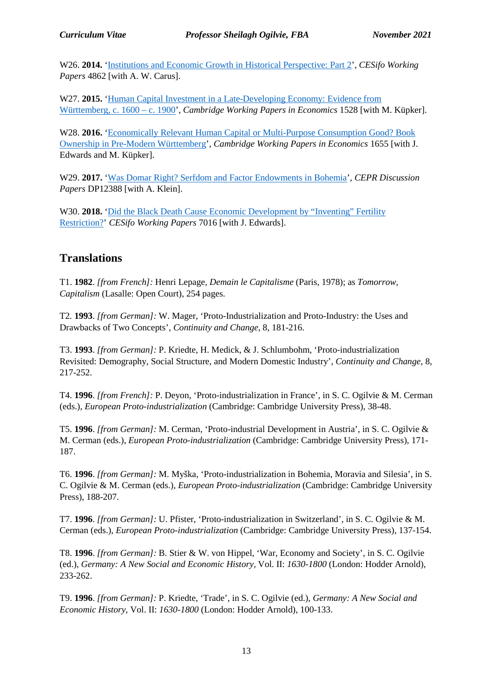W26. **2014.** ['Institutions and Economic Growth in Historical Perspective: Part 2'](http://ssrn.com/abstract=2463601), *CESifo Working Papers* 4862 [with A. W. Carus].

W27. **2015.** 'Human Capital Investment in a Late-Developing Economy: Evidence from [Württemberg, c. 1600 –](http://www.econ.cam.ac.uk/research/repec/cam/pdf/cwpe1528.pdf) c. 1900', *Cambridge Working Papers in Economics* 1528 [with M. Küpker].

W28. **2016.** ['Economically Relevant Human Capital or Multi-Purpose Consumption Good? Book](http://www.econ.cam.ac.uk/research/repec/cam/pdf/cwpe1655.pdf)  [Ownership in Pre-Modern Württemberg'](http://www.econ.cam.ac.uk/research/repec/cam/pdf/cwpe1655.pdf), *Cambridge Working Papers in Economics* 1655 [with J. Edwards and M. Küpker].

W29. **2017.** ['Was Domar Right? Serfdom and Factor Endowments in Bohemia'](http://cepr.org/active/publications/discussion_papers/dp.php?dpno=12388), *CEPR Discussion Papers* DP12388 [with A. Klein].

W30. **2018.** 'Did the Black Death Cause Economic Development by "Inventing" Fertility [Restriction?'](https://www.cesifo-group.de/DocDL/cesifo1_wp7016.pdf) *CESifo Working Papers* 7016 [with J. Edwards].

#### **Translations**

T1. **1982**. *[from French]:* Henri Lepage, *Demain le Capitalisme* (Paris, 1978); as *Tomorrow, Capitalism* (Lasalle: Open Court), 254 pages.

T2*.* **1993**. *[from German]:* W. Mager, 'Proto-Industrialization and Proto-Industry: the Uses and Drawbacks of Two Concepts', *Continuity and Change*, 8, 181-216.

T3. **1993**. *[from German]:* P. Kriedte, H. Medick, & J. Schlumbohm, 'Proto-industrialization Revisited: Demography, Social Structure, and Modern Domestic Industry', *Continuity and Change*, 8, 217-252.

T4. **1996**. *[from French]:* P. Deyon, 'Proto-industrialization in France', in S. C. Ogilvie & M. Cerman (eds.), *European Proto-industrialization* (Cambridge: Cambridge University Press), 38-48.

T5. **1996**. *[from German]:* M. Cerman, 'Proto-industrial Development in Austria', in S. C. Ogilvie & M. Cerman (eds.), *European Proto-industrialization* (Cambridge: Cambridge University Press), 171- 187.

T6. **1996**. *[from German]:* M. Myška, 'Proto-industrialization in Bohemia, Moravia and Silesia', in S. C. Ogilvie & M. Cerman (eds.), *European Proto-industrialization* (Cambridge: Cambridge University Press), 188-207.

T7. **1996**. *[from German]:* U. Pfister, 'Proto-industrialization in Switzerland', in S. C. Ogilvie & M. Cerman (eds.), *European Proto-industrialization* (Cambridge: Cambridge University Press), 137-154.

T8. **1996**. *[from German]:* B. Stier & W. von Hippel, 'War, Economy and Society', in S. C. Ogilvie (ed.), *Germany: A New Social and Economic History*, Vol. II: *1630-1800* (London: Hodder Arnold), 233-262.

T9. **1996**. *[from German]:* P. Kriedte, 'Trade', in S. C. Ogilvie (ed.), *Germany: A New Social and Economic History*, Vol. II: *1630-1800* (London: Hodder Arnold), 100-133.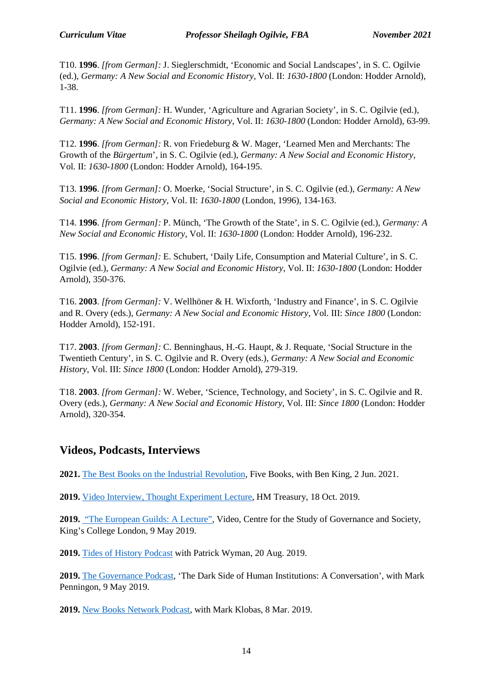T10. **1996**. *[from German]:* J. Sieglerschmidt, 'Economic and Social Landscapes', in S. C. Ogilvie (ed.), *Germany: A New Social and Economic History*, Vol. II: *1630-1800* (London: Hodder Arnold), 1-38.

T11. **1996**. *[from German]:* H. Wunder, 'Agriculture and Agrarian Society', in S. C. Ogilvie (ed.), *Germany: A New Social and Economic History*, Vol. II: *1630-1800* (London: Hodder Arnold), 63-99.

T12. **1996**. *[from German]:* R. von Friedeburg & W. Mager, 'Learned Men and Merchants: The Growth of the *Bürgertum*', in S. C. Ogilvie (ed.), *Germany: A New Social and Economic History*, Vol. II: *1630-1800* (London: Hodder Arnold), 164-195.

T13. **1996**. *[from German]:* O. Moerke, 'Social Structure', in S. C. Ogilvie (ed.), *Germany: A New Social and Economic History*, Vol. II: *1630-1800* (London, 1996), 134-163.

T14. **1996**. *[from German]:* P. Münch, 'The Growth of the State', in S. C. Ogilvie (ed.), *Germany: A New Social and Economic History*, Vol. II: *1630-1800* (London: Hodder Arnold), 196-232.

T15. **1996**. *[from German]:* E. Schubert, 'Daily Life, Consumption and Material Culture', in S. C. Ogilvie (ed.), *Germany: A New Social and Economic History*, Vol. II: *1630-1800* (London: Hodder Arnold), 350-376.

T16. **2003**. *[from German]:* V. Wellhöner & H. Wixforth, 'Industry and Finance', in S. C. Ogilvie and R. Overy (eds.), *Germany: A New Social and Economic History*, Vol. III: *Since 1800* (London: Hodder Arnold), 152-191.

T17. **2003**. *[from German]:* C. Benninghaus, H.-G. Haupt, & J. Requate, 'Social Structure in the Twentieth Century', in S. C. Ogilvie and R. Overy (eds.), *Germany: A New Social and Economic History*, Vol. III: *Since 1800* (London: Hodder Arnold), 279-319.

T18. **2003**. *[from German]:* W. Weber, 'Science, Technology, and Society', in S. C. Ogilvie and R. Overy (eds.), *Germany: A New Social and Economic History*, Vol. III: *Since 1800* (London: Hodder Arnold), 320-354.

#### **Videos, Podcasts, Interviews**

**2021.** [The Best Books on the Industrial Revolution,](https://fivebooks.com/best-books/industrial-revolution-sheilagh-ogilvie/) Five Books, with Ben King, 2 Jun. 2021.

**2019.** [Video Interview, Thought Experiment Lecture,](http://www.econ.cam.ac.uk/news/ogilvie-thought-experiment-lecture-videos-october-19-all) HM Treasury, 18 Oct. 2019.

**2019.** ["The European Guilds: A Lecture",](https://csgs.kcl.ac.uk/video/the-european-guilds-a-lecture-by-sheilagh-ogilvie/) Video, Centre for the Study of Governance and Society, King's College London, 9 May 2019.

**2019.** [Tides of History Podcast](https://art19.com/shows/tides-of-history/episodes/7971bbbc-71c2-419e-809a-91fab0a87016/) with Patrick Wyman, 20 Aug. 2019.

**2019.** [The Governance Podcast,](https://csgs.kcl.ac.uk/podcast/the-dark-side-of-human-institutions-a-conversation-with-sheilagh-ogilvie-on-the-european-guilds/) 'The Dark Side of Human Institutions: A Conversation', with Mark Penningon, 9 May 2019.

**2019.** [New Books Network Podcast,](https://newbooksnetwork.com/sheilagh-ogilvie-the-european-guilds-an-economic-analysis-princeton-up-2019/) with Mark Klobas, 8 Mar. 2019.